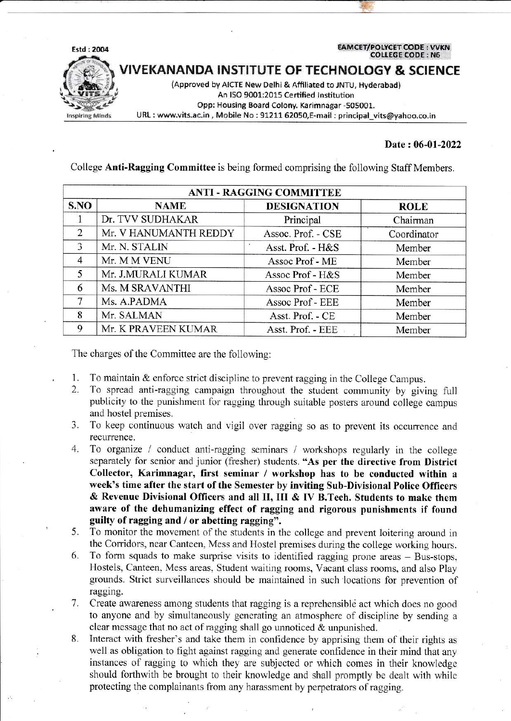**EAMCET/POLYCET CODE: VVKN COLLEGE CODE: N6** 



**/IVEKANANDA INSTITUTE OF TECHNOLOGY & SCIENCE** 

(Approved by AICTE New Delhi & Affiliated to JNTU, Hyderabad) An ISO 9001:2015 Certified Institution Opp: Housing Board Colony. Karimnagar -505001. URL : www.vits.ac.in, Mobile No : 91211 62050,E-mail : principal\_vits@yahoo.co.in

## Date: 06-01-2022

**ANTI - RAGGING COMMITTEE** S.NO **NAME DESIGNATION ROLE**  $\mathbf{1}$ Dr. TVV SUDHAKAR Principal Chairman  $\overline{2}$ Mr. V HANUMANTH REDDY Assoc. Prof. - CSE Coordinator 3 Mr. N. STALIN Asst. Prof. - H&S Member  $\overline{4}$ Mr. M M VENU Assoc Prof - ME Member 5 Mr. J.MURALI KUMAR Assoc Prof - H&S Member 6 Ms. M SRAVANTHI Assoc Prof - ECE Member  $\overline{7}$ Ms. A.PADMA Assoc Prof - EEE Member 8 Mr. SALMAN Asst. Prof. - CE Member 9 Mr. K PRAVEEN KUMAR Asst. Prof. - EEE Member

College Anti-Ragging Committee is being formed comprising the following Staff Members.

The charges of the Committee are the following:

- To maintain & enforce strict discipline to prevent ragging in the College Campus. 1.
- To spread anti-ragging campaign throughout the student community by giving full  $\overline{2}$ . publicity to the punishment for ragging through suitable posters around college campus and hostel premises.
- To keep continuous watch and vigil over ragging so as to prevent its occurrence and 3. recurrence.
- To organize / conduct anti-ragging seminars / workshops regularly in the college 4. separately for senior and junior (fresher) students. "As per the directive from District Collector, Karimnagar, first seminar / workshop has to be conducted within a week's time after the start of the Semester by inviting Sub-Divisional Police Officers & Revenue Divisional Officers and all II, III & IV B. Tech. Students to make them aware of the dehumanizing effect of ragging and rigorous punishments if found guilty of ragging and / or abetting ragging".
- To monitor the movement of the students in the college and prevent loitering around in 5. the Corridors, near Canteen, Mess and Hostel premises during the college working hours.
- To form squads to make surprise visits to identified ragging prone areas Bus-stops, 6. Hostels, Canteen, Mess areas, Student waiting rooms, Vacant class rooms, and also Play grounds. Strict surveillances should be maintained in such locations for prevention of ragging.
- 7. Create awareness among students that ragging is a reprehensible act which does no good to anyone and by simultaneously generating an atmosphere of discipline by sending a clear message that no act of ragging shall go unnoticed  $\&$  unpunished.
- 8. Interact with fresher's and take them in confidence by apprising them of their rights as well as obligation to fight against ragging and generate confidence in their mind that any instances of ragging to which they are subjected or which comes in their knowledge should forthwith be brought to their knowledge and shall promptly be dealt with while protecting the complainants from any harassment by perpetrators of ragging.